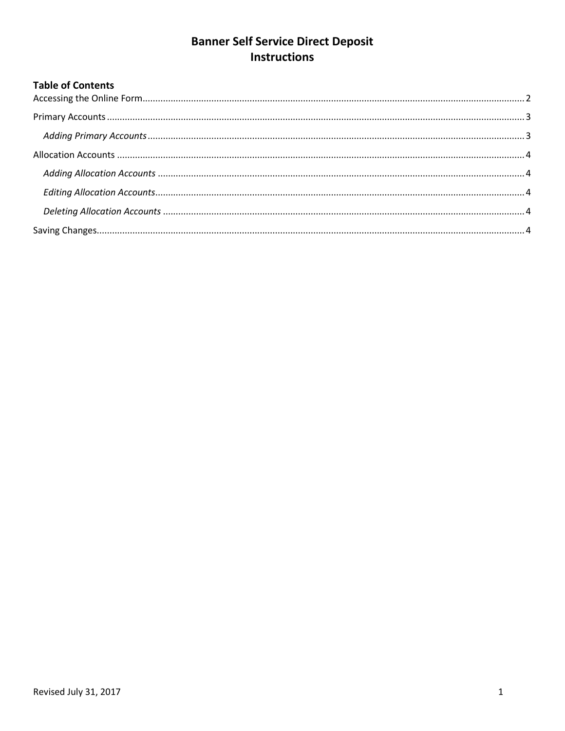# **Banner Self Service Direct Deposit Instructions**

# **Table of Contents**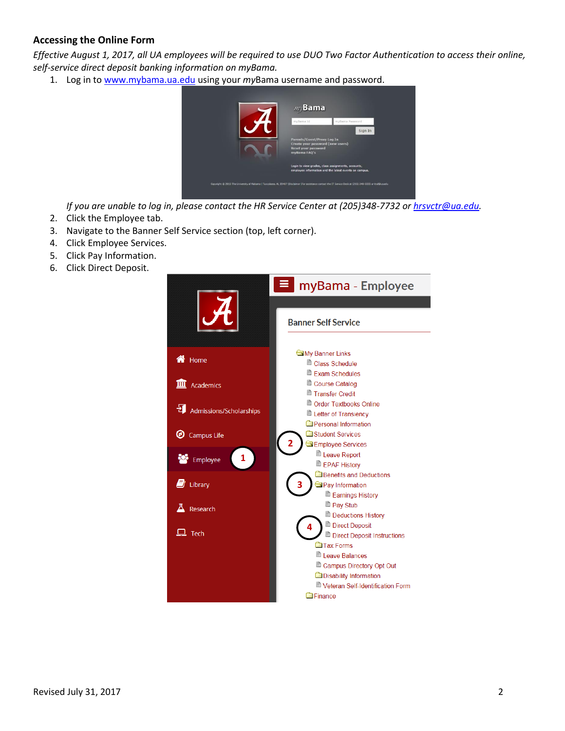## <span id="page-1-0"></span>**Accessing the Online Form**

*Effective August 1, 2017, all UA employees will be required to use DUO Two Factor Authentication to access their online, self-service direct deposit banking information on myBama.*

1. Log in to [www.mybama.ua.edu](http://www.mybama.ua.edu/) using your *my*Bama username and password.



*If you are unable to log in, please contact the HR Service Center at (205)348-7732 or [hrsvctr@ua.edu.](mailto:hrsvctr@ua.edu)*

- 2. Click the Employee tab.
- 3. Navigate to the Banner Self Service section (top, left corner).
- 4. Click Employee Services.
- 5. Click Pay Information.
- 6. Click Direct Deposit.

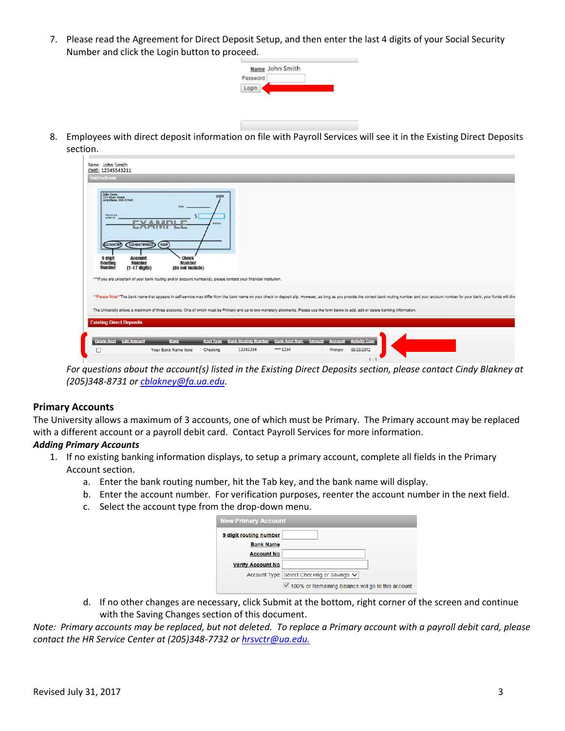7. Please read the Agreement for Direct Deposit Setup, and then enter the last 4 digits of your Social Security Number and click the Login button to proceed.



8. Employees with direct deposit information on file with Payroll Services will see it in the Existing Direct Deposits section.

|                                                                       | CWID: 12345543211                                                                                                                                                                                                                                                 |                                                      |                  |  |                                                                          |  |                                                                                                                                                                                                                               |
|-----------------------------------------------------------------------|-------------------------------------------------------------------------------------------------------------------------------------------------------------------------------------------------------------------------------------------------------------------|------------------------------------------------------|------------------|--|--------------------------------------------------------------------------|--|-------------------------------------------------------------------------------------------------------------------------------------------------------------------------------------------------------------------------------|
| Instructions                                                          |                                                                                                                                                                                                                                                                   |                                                      |                  |  |                                                                          |  |                                                                                                                                                                                                                               |
| Pay to the<br>023456789<br>9 digit<br><b>Routing</b><br><b>Number</b> | John Jones<br>124 Main Street<br>Anywhere, MA 02345<br>$\mathcal{N}$<br>1234567891011<br><b>Account</b><br><b>Number</b><br>$(1-17$ digits)<br>*** If you are uncertain of your bank routing and/or account number(s), please contact your financial institution. | (0259)<br>Check<br><b>Number</b><br>(do not include) | 0259<br>Distinct |  |                                                                          |  |                                                                                                                                                                                                                               |
|                                                                       |                                                                                                                                                                                                                                                                   |                                                      |                  |  |                                                                          |  |                                                                                                                                                                                                                               |
|                                                                       |                                                                                                                                                                                                                                                                   |                                                      |                  |  |                                                                          |  | **Please Note**The bank name that appears in self-service may differ from the bank name on your check or deposit slip. However, as long as you provide the correct bank routing number and your account number for your bank, |
|                                                                       | The University allows a maximum of three accounts. One of which must be Primary and up to two monetary allotments. Please use the form below to add, edit or delete banking information.                                                                          |                                                      |                  |  |                                                                          |  |                                                                                                                                                                                                                               |
|                                                                       | <b>Existing Direct Deposits</b>                                                                                                                                                                                                                                   |                                                      |                  |  |                                                                          |  |                                                                                                                                                                                                                               |
|                                                                       |                                                                                                                                                                                                                                                                   |                                                      |                  |  |                                                                          |  |                                                                                                                                                                                                                               |
|                                                                       |                                                                                                                                                                                                                                                                   | <b>Bank</b>                                          |                  |  | Acct Type Bank Routing Number Bank Acct Num Amount Account Activity Date |  |                                                                                                                                                                                                                               |
| Delete Acet Edit Amount                                               |                                                                                                                                                                                                                                                                   |                                                      |                  |  |                                                                          |  |                                                                                                                                                                                                                               |

*For questions about the account(s) listed in the Existing Direct Deposits section, please contact Cindy Blakney at (205)348-8731 or [cblakney@fa.ua.edu.](mailto:cblakney@fa.ua.edu)*

#### <span id="page-2-0"></span>**Primary Accounts**

The University allows a maximum of 3 accounts, one of which must be Primary. The Primary account may be replaced with a different account or a payroll debit card. Contact Payroll Services for more information.

#### <span id="page-2-1"></span>*Adding Primary Accounts*

- 1. If no existing banking information displays, to setup a primary account, complete all fields in the Primary Account section.
	- a. Enter the bank routing number, hit the Tab key, and the bank name will display.
	- b. Enter the account number. For verification purposes, reenter the account number in the next field.
	- c. Select the account type from the drop-down menu.

| <b>New Primary Account</b> |                                                     |  |  |  |  |
|----------------------------|-----------------------------------------------------|--|--|--|--|
| 9 digit routing number     |                                                     |  |  |  |  |
| <b>Bank Name</b>           |                                                     |  |  |  |  |
| <b>Account No</b>          |                                                     |  |  |  |  |
| <b>Verify Account No</b>   |                                                     |  |  |  |  |
|                            | Account Type Select Checking or Savings ↓           |  |  |  |  |
|                            | └ 100% or Remaining Balance will go to this account |  |  |  |  |

d. If no other changes are necessary, click Submit at the bottom, right corner of the screen and continue with the Saving Changes section of this document.

*Note: Primary accounts may be replaced, but not deleted. To replace a Primary account with a payroll debit card, please contact the HR Service Center at (205)348-7732 or [hrsvctr@ua.edu.](mailto:hrsvctr@ua.edu)*